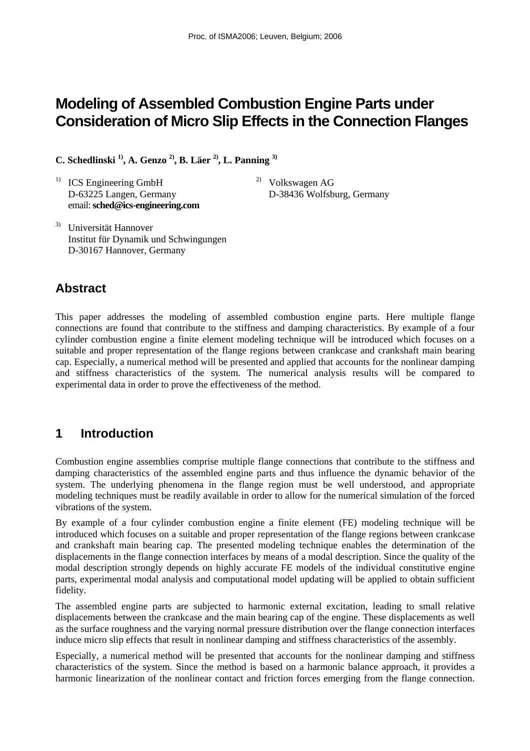# **Modeling of Assembled Combustion Engine Parts under Consideration of Micro Slip Effects in the Connection Flanges**

**C. Schedlinski 1), A. Genzo 2), B. Läer 2), L. Panning 3)**

<sup>1)</sup> ICS Engineering GmbH  $^{2)}$  Volkswagen AG D-63225 Langen, Germany D-38436 Wolfsburg, Germany email: **sched@ics-engineering.com** 

3) Universität Hannover Institut für Dynamik und Schwingungen D-30167 Hannover, Germany

## **Abstract**

This paper addresses the modeling of assembled combustion engine parts. Here multiple flange connections are found that contribute to the stiffness and damping characteristics. By example of a four cylinder combustion engine a finite element modeling technique will be introduced which focuses on a suitable and proper representation of the flange regions between crankcase and crankshaft main bearing cap. Especially, a numerical method will be presented and applied that accounts for the nonlinear damping and stiffness characteristics of the system. The numerical analysis results will be compared to experimental data in order to prove the effectiveness of the method.

## **1 Introduction**

Combustion engine assemblies comprise multiple flange connections that contribute to the stiffness and damping characteristics of the assembled engine parts and thus influence the dynamic behavior of the system. The underlying phenomena in the flange region must be well understood, and appropriate modeling techniques must be readily available in order to allow for the numerical simulation of the forced vibrations of the system.

By example of a four cylinder combustion engine a finite element (FE) modeling technique will be introduced which focuses on a suitable and proper representation of the flange regions between crankcase and crankshaft main bearing cap. The presented modeling technique enables the determination of the displacements in the flange connection interfaces by means of a modal description. Since the quality of the modal description strongly depends on highly accurate FE models of the individual constitutive engine parts, experimental modal analysis and computational model updating will be applied to obtain sufficient fidelity.

The assembled engine parts are subjected to harmonic external excitation, leading to small relative displacements between the crankcase and the main bearing cap of the engine. These displacements as well as the surface roughness and the varying normal pressure distribution over the flange connection interfaces induce micro slip effects that result in nonlinear damping and stiffness characteristics of the assembly.

Especially, a numerical method will be presented that accounts for the nonlinear damping and stiffness characteristics of the system. Since the method is based on a harmonic balance approach, it provides a harmonic linearization of the nonlinear contact and friction forces emerging from the flange connection.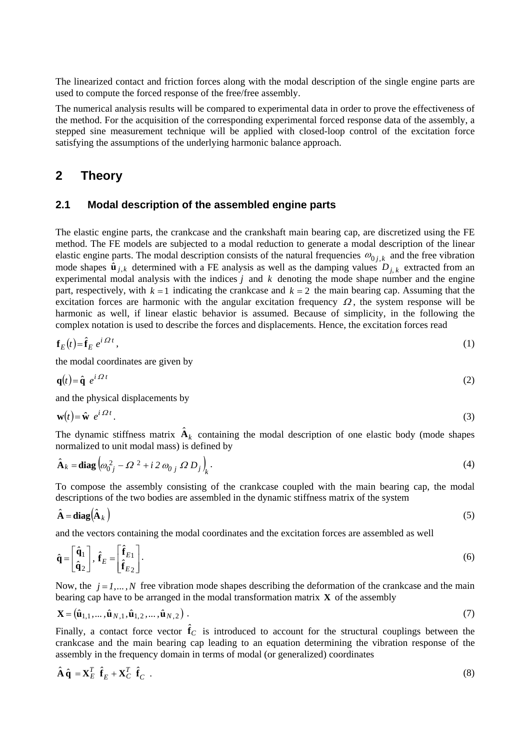The linearized contact and friction forces along with the modal description of the single engine parts are used to compute the forced response of the free/free assembly.

The numerical analysis results will be compared to experimental data in order to prove the effectiveness of the method. For the acquisition of the corresponding experimental forced response data of the assembly, a stepped sine measurement technique will be applied with closed-loop control of the excitation force satisfying the assumptions of the underlying harmonic balance approach.

## **2 Theory**

### **2.1 Modal description of the assembled engine parts**

The elastic engine parts, the crankcase and the crankshaft main bearing cap, are discretized using the FE method. The FE models are subjected to a modal reduction to generate a modal description of the linear elastic engine parts. The modal description consists of the natural frequencies  $\omega_{0,i,k}$  and the free vibration mode shapes  $\hat{\mathbf{u}}_{j,k}$  determined with a FE analysis as well as the damping values  $D_{i,k}$  extracted from an experimental modal analysis with the indices *j* and *k* denoting the mode shape number and the engine part, respectively, with  $k = 1$  indicating the crankcase and  $k = 2$  the main bearing cap. Assuming that the excitation forces are harmonic with the angular excitation frequency  $\Omega$ , the system response will be harmonic as well, if linear elastic behavior is assumed. Because of simplicity, in the following the complex notation is used to describe the forces and displacements. Hence, the excitation forces read

$$
\mathbf{f}_E(t) = \hat{\mathbf{f}}_E \, e^{i \Omega t} \,, \tag{1}
$$

the modal coordinates are given by

$$
\mathbf{q}(t) = \hat{\mathbf{q}} \ e^{i \Omega t} \tag{2}
$$

and the physical displacements by

$$
\mathbf{w}(t) = \hat{\mathbf{w}} \ e^{i \Omega t} \,. \tag{3}
$$

The dynamic stiffness matrix  $\mathbf{\hat{A}}_k$  containing the modal description of one elastic body (mode shapes normalized to unit modal mass) is defined by

$$
\hat{\mathbf{A}}_k = \mathbf{diag} \left( \omega_{0j}^2 - \Omega^2 + i \, 2 \, \omega_{0j} \, \Omega \, D_j \right)_k. \tag{4}
$$

To compose the assembly consisting of the crankcase coupled with the main bearing cap, the modal descriptions of the two bodies are assembled in the dynamic stiffness matrix of the system

$$
\hat{\mathbf{A}} = \mathbf{diag}(\hat{\mathbf{A}}_k) \tag{5}
$$

and the vectors containing the modal coordinates and the excitation forces are assembled as well

$$
\hat{\mathbf{q}} = \begin{bmatrix} \hat{\mathbf{q}}_1 \\ \hat{\mathbf{q}}_2 \end{bmatrix}, \ \hat{\mathbf{f}}_E = \begin{bmatrix} \hat{\mathbf{f}}_{E1} \\ \hat{\mathbf{f}}_{E2} \end{bmatrix} . \tag{6}
$$

Now, the  $j = 1, ..., N$  free vibration mode shapes describing the deformation of the crankcase and the main bearing cap have to be arranged in the modal transformation matrix  $\bf{X}$  of the assembly

$$
\mathbf{X} = (\hat{\mathbf{u}}_{1,1}, \dots, \hat{\mathbf{u}}_{N,1}, \hat{\mathbf{u}}_{1,2}, \dots, \hat{\mathbf{u}}_{N,2}).
$$
\n(7)

Finally, a contact force vector  $\hat{f}_C$  is introduced to account for the structural couplings between the crankcase and the main bearing cap leading to an equation determining the vibration response of the assembly in the frequency domain in terms of modal (or generalized) coordinates

$$
\hat{\mathbf{A}}\hat{\mathbf{q}} = \mathbf{X}_E^T \hat{\mathbf{f}}_E + \mathbf{X}_C^T \hat{\mathbf{f}}_C \tag{8}
$$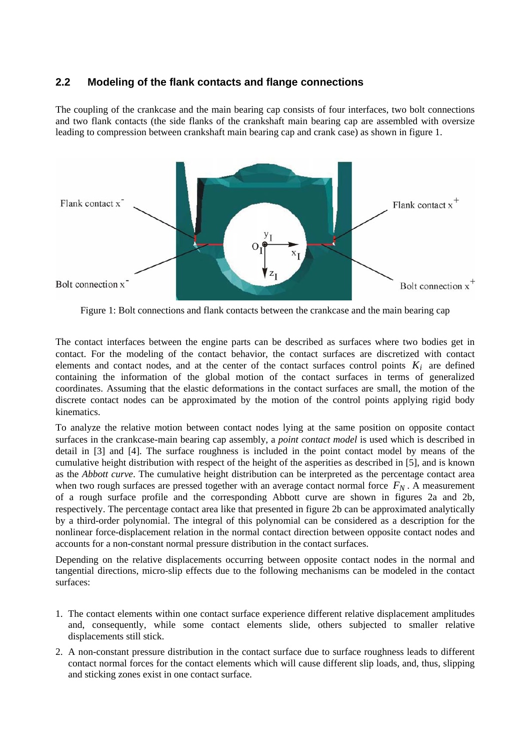## **2.2 Modeling of the flank contacts and flange connections**

The coupling of the crankcase and the main bearing cap consists of four interfaces, two bolt connections and two flank contacts (the side flanks of the crankshaft main bearing cap are assembled with oversize leading to compression between crankshaft main bearing cap and crank case) as shown in figure 1.



Figure 1: Bolt connections and flank contacts between the crankcase and the main bearing cap

The contact interfaces between the engine parts can be described as surfaces where two bodies get in contact. For the modeling of the contact behavior, the contact surfaces are discretized with contact elements and contact nodes, and at the center of the contact surfaces control points  $K_i$  are defined containing the information of the global motion of the contact surfaces in terms of generalized coordinates. Assuming that the elastic deformations in the contact surfaces are small, the motion of the discrete contact nodes can be approximated by the motion of the control points applying rigid body kinematics.

To analyze the relative motion between contact nodes lying at the same position on opposite contact surfaces in the crankcase-main bearing cap assembly, a *point contact model* is used which is described in detail in [3] and [4]. The surface roughness is included in the point contact model by means of the cumulative height distribution with respect of the height of the asperities as described in [5], and is known as the *Abbott curve*. The cumulative height distribution can be interpreted as the percentage contact area when two rough surfaces are pressed together with an average contact normal force  $F_N$ . A measurement of a rough surface profile and the corresponding Abbott curve are shown in figures 2a and 2b, respectively. The percentage contact area like that presented in figure 2b can be approximated analytically by a third-order polynomial. The integral of this polynomial can be considered as a description for the nonlinear force-displacement relation in the normal contact direction between opposite contact nodes and accounts for a non-constant normal pressure distribution in the contact surfaces.

Depending on the relative displacements occurring between opposite contact nodes in the normal and tangential directions, micro-slip effects due to the following mechanisms can be modeled in the contact surfaces:

- 1. The contact elements within one contact surface experience different relative displacement amplitudes and, consequently, while some contact elements slide, others subjected to smaller relative displacements still stick.
- 2. A non-constant pressure distribution in the contact surface due to surface roughness leads to different contact normal forces for the contact elements which will cause different slip loads, and, thus, slipping and sticking zones exist in one contact surface.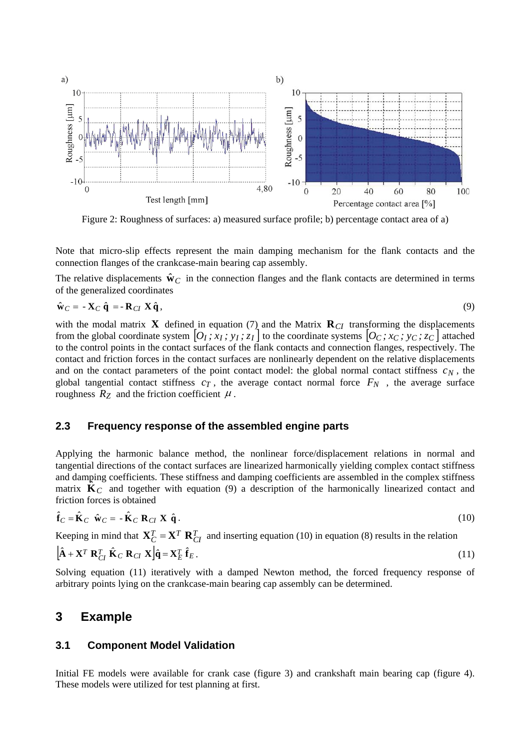

Figure 2: Roughness of surfaces: a) measured surface profile; b) percentage contact area of a)

Note that micro-slip effects represent the main damping mechanism for the flank contacts and the connection flanges of the crankcase-main bearing cap assembly.

The relative displacements  $\hat{\mathbf{w}}_C$  in the connection flanges and the flank contacts are determined in terms of the generalized coordinates

$$
\hat{\mathbf{w}}_C = -\mathbf{X}_C \hat{\mathbf{q}} = -\mathbf{R}_{CI} \mathbf{X} \hat{\mathbf{q}},\tag{9}
$$

with the modal matrix **X** defined in equation (7) and the Matrix  $\mathbf{R}_{CI}$  transforming the displacements from the global coordinate system  $[O_I; x_I; y_I; z_I]$  to the coordinate systems  $[O_C; x_C; y_C; z_C]$  attached to the control points in the contact surfaces of the flank contacts and connection flanges, respectively. The contact and friction forces in the contact surfaces are nonlinearly dependent on the relative displacements and on the contact parameters of the point contact model: the global normal contact stiffness  $c_N$ , the global tangential contact stiffness  $c_T$ , the average contact normal force  $F_N$ , the average surface roughness  $R_Z$  and the friction coefficient  $\mu$ .

### **2.3 Frequency response of the assembled engine parts**

Applying the harmonic balance method, the nonlinear force/displacement relations in normal and tangential directions of the contact surfaces are linearized harmonically yielding complex contact stiffness and damping coefficients. These stiffness and damping coefficients are assembled in the complex stiffness matrix  $\dot{\mathbf{K}}_C$  and together with equation (9) a description of the harmonically linearized contact and friction forces is obtained

$$
\hat{\mathbf{f}}_C = \hat{\mathbf{K}}_C \quad \hat{\mathbf{w}}_C = -\hat{\mathbf{K}}_C \mathbf{R}_{CI} \mathbf{X} \quad \hat{\mathbf{q}} \,. \tag{10}
$$

Keeping in mind that  $X_C^T = X^T R_{CI}^T$  and inserting equation (10) in equation (8) results in the relation

$$
\left[\hat{\mathbf{A}} + \mathbf{X}^T \mathbf{R}_{CI}^T \hat{\mathbf{K}}_C \mathbf{R}_{CI} \mathbf{X}\right] \hat{\mathbf{q}} = \mathbf{X}_E^T \hat{\mathbf{f}}_E.
$$
\n(11)

Solving equation (11) iteratively with a damped Newton method, the forced frequency response of arbitrary points lying on the crankcase-main bearing cap assembly can be determined.

### **3 Example**

#### **3.1 Component Model Validation**

Initial FE models were available for crank case (figure 3) and crankshaft main bearing cap (figure 4). These models were utilized for test planning at first.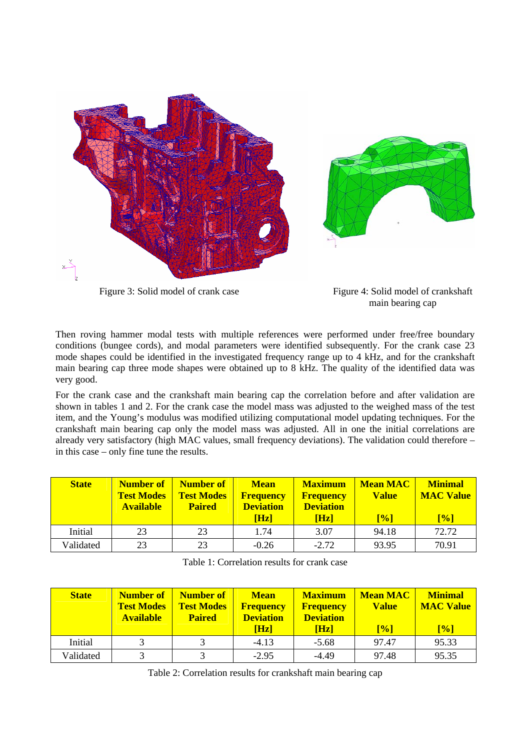



Figure 3: Solid model of crank case Figure 4: Solid model of crankshaft main bearing cap

Then roving hammer modal tests with multiple references were performed under free/free boundary conditions (bungee cords), and modal parameters were identified subsequently. For the crank case 23 mode shapes could be identified in the investigated frequency range up to 4 kHz, and for the crankshaft main bearing cap three mode shapes were obtained up to 8 kHz. The quality of the identified data was very good.

For the crank case and the crankshaft main bearing cap the correlation before and after validation are shown in tables 1 and 2. For the crank case the model mass was adjusted to the weighed mass of the test item, and the Young's modulus was modified utilizing computational model updating techniques. For the crankshaft main bearing cap only the model mass was adjusted. All in one the initial correlations are already very satisfactory (high MAC values, small frequency deviations). The validation could therefore – in this case – only fine tune the results.

| <b>State</b> | <b>Number of</b><br><b>Test Modes</b><br><b>Available</b> | Number of<br><b>Test Modes</b><br><b>Paired</b> | <b>Mean</b><br><b>Frequency</b><br><b>Deviation</b><br>[Hz] | <b>Maximum</b><br><b>Frequency</b><br><b>Deviation</b><br>[Hz] | <b>Mean MAC</b><br><b>Value</b><br>[%] | <b>Minimal</b><br><b>MAC Value</b><br>$[\%]$ |
|--------------|-----------------------------------------------------------|-------------------------------------------------|-------------------------------------------------------------|----------------------------------------------------------------|----------------------------------------|----------------------------------------------|
| Initial      | 23                                                        | 23                                              | 1.74                                                        | 3.07                                                           | 94.18                                  | 72.72                                        |
| Validated    | 23                                                        | 23                                              | $-0.26$                                                     | $-2.72$                                                        | 93.95                                  | 70.91                                        |

Table 1: Correlation results for crank case

| <b>State</b> | Number of<br><b>Test Modes</b><br><b>Available</b> | Number of<br><b>Test Modes</b><br><b>Paired</b> | <b>Mean</b><br><b>Frequency</b><br><b>Deviation</b><br>[Hz] | <b>Maximum</b><br><b>Frequency</b><br><b>Deviation</b><br><b>Hz</b> | <b>Mean MAC</b><br><b>Value</b><br>[%] | <b>Minimal</b><br><b>MAC Value</b><br>[%] |
|--------------|----------------------------------------------------|-------------------------------------------------|-------------------------------------------------------------|---------------------------------------------------------------------|----------------------------------------|-------------------------------------------|
| Initial      |                                                    |                                                 | $-4.13$                                                     | $-5.68$                                                             | 97.47                                  | 95.33                                     |
| Validated    |                                                    | 2                                               | $-2.95$                                                     | $-4.49$                                                             | 97.48                                  | 95.35                                     |

Table 2: Correlation results for crankshaft main bearing cap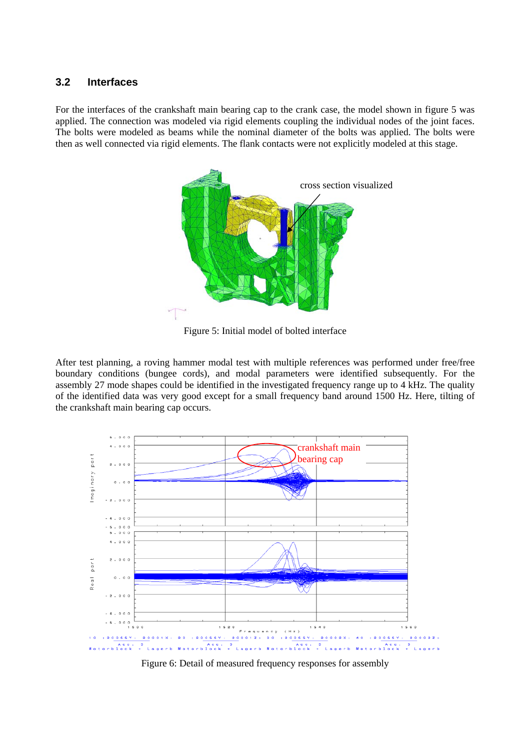### **3.2 Interfaces**

For the interfaces of the crankshaft main bearing cap to the crank case, the model shown in figure 5 was applied. The connection was modeled via rigid elements coupling the individual nodes of the joint faces. The bolts were modeled as beams while the nominal diameter of the bolts was applied. The bolts were then as well connected via rigid elements. The flank contacts were not explicitly modeled at this stage.



Figure 5: Initial model of bolted interface

After test planning, a roving hammer modal test with multiple references was performed under free/free boundary conditions (bungee cords), and modal parameters were identified subsequently. For the assembly 27 mode shapes could be identified in the investigated frequency range up to 4 kHz. The quality of the identified data was very good except for a small frequency band around 1500 Hz. Here, tilting of the crankshaft main bearing cap occurs.



Figure 6: Detail of measured frequency responses for assembly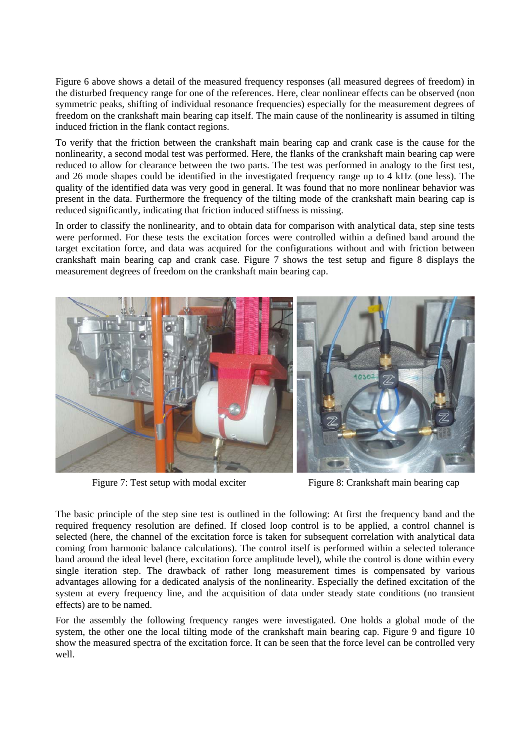Figure 6 above shows a detail of the measured frequency responses (all measured degrees of freedom) in the disturbed frequency range for one of the references. Here, clear nonlinear effects can be observed (non symmetric peaks, shifting of individual resonance frequencies) especially for the measurement degrees of freedom on the crankshaft main bearing cap itself. The main cause of the nonlinearity is assumed in tilting induced friction in the flank contact regions.

To verify that the friction between the crankshaft main bearing cap and crank case is the cause for the nonlinearity, a second modal test was performed. Here, the flanks of the crankshaft main bearing cap were reduced to allow for clearance between the two parts. The test was performed in analogy to the first test, and 26 mode shapes could be identified in the investigated frequency range up to 4 kHz (one less). The quality of the identified data was very good in general. It was found that no more nonlinear behavior was present in the data. Furthermore the frequency of the tilting mode of the crankshaft main bearing cap is reduced significantly, indicating that friction induced stiffness is missing.

In order to classify the nonlinearity, and to obtain data for comparison with analytical data, step sine tests were performed. For these tests the excitation forces were controlled within a defined band around the target excitation force, and data was acquired for the configurations without and with friction between crankshaft main bearing cap and crank case. Figure 7 shows the test setup and figure 8 displays the measurement degrees of freedom on the crankshaft main bearing cap.



Figure 7: Test setup with modal exciter Figure 8: Crankshaft main bearing cap

The basic principle of the step sine test is outlined in the following: At first the frequency band and the required frequency resolution are defined. If closed loop control is to be applied, a control channel is selected (here, the channel of the excitation force is taken for subsequent correlation with analytical data coming from harmonic balance calculations). The control itself is performed within a selected tolerance band around the ideal level (here, excitation force amplitude level), while the control is done within every single iteration step. The drawback of rather long measurement times is compensated by various advantages allowing for a dedicated analysis of the nonlinearity. Especially the defined excitation of the system at every frequency line, and the acquisition of data under steady state conditions (no transient effects) are to be named.

For the assembly the following frequency ranges were investigated. One holds a global mode of the system, the other one the local tilting mode of the crankshaft main bearing cap. Figure 9 and figure 10 show the measured spectra of the excitation force. It can be seen that the force level can be controlled very well.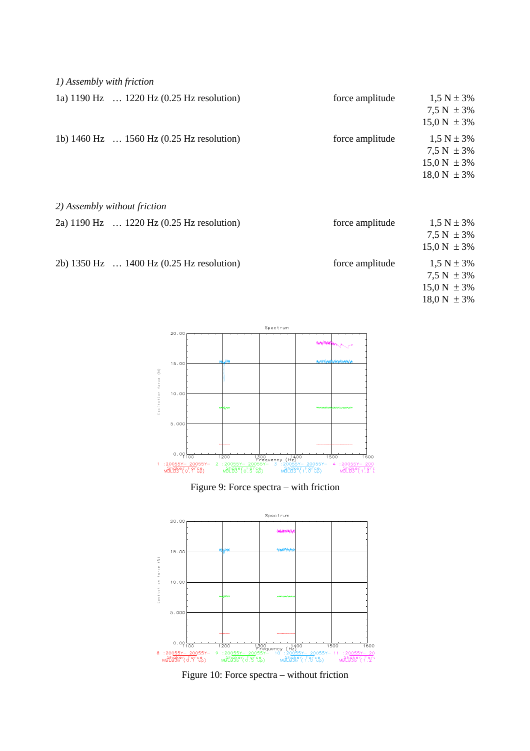| 1) Assembly with friction |  |
|---------------------------|--|
|                           |  |

| 1a) 1190 Hz  1220 Hz (0.25 Hz resolution)                    | force amplitude | $1.5 N \pm 3\%$  |
|--------------------------------------------------------------|-----------------|------------------|
|                                                              |                 | $7.5 N \pm 3\%$  |
|                                                              |                 | $15.0 N \pm 3\%$ |
| 1b) $1460 \text{ Hz}$ $1560 \text{ Hz}$ (0.25 Hz resolution) | force amplitude | $1.5 N \pm 3\%$  |
|                                                              |                 | $7.5 N \pm 3\%$  |
|                                                              |                 | $15.0 N \pm 3\%$ |
|                                                              |                 | $18.0 N \pm 3\%$ |
|                                                              |                 |                  |
|                                                              |                 |                  |

|  |  | 2) Assembly without friction |  |  |
|--|--|------------------------------|--|--|
|--|--|------------------------------|--|--|

| 2a) 1190 Hz  1220 Hz (0.25 Hz resolution) | force amplitude | $1,5 N \pm 3\%$  |
|-------------------------------------------|-----------------|------------------|
|                                           |                 | $7.5 N \pm 3\%$  |
|                                           |                 | $15.0 N \pm 3\%$ |
| 2b) 1350 Hz  1400 Hz (0.25 Hz resolution) | force amplitude | $1,5 N \pm 3\%$  |
|                                           |                 | $7.5 N \pm 3\%$  |
|                                           |                 | $15.0 N \pm 3\%$ |

 $18.0 N \pm 3\%$ 



Figure 9: Force spectra – with friction



Figure 10: Force spectra – without friction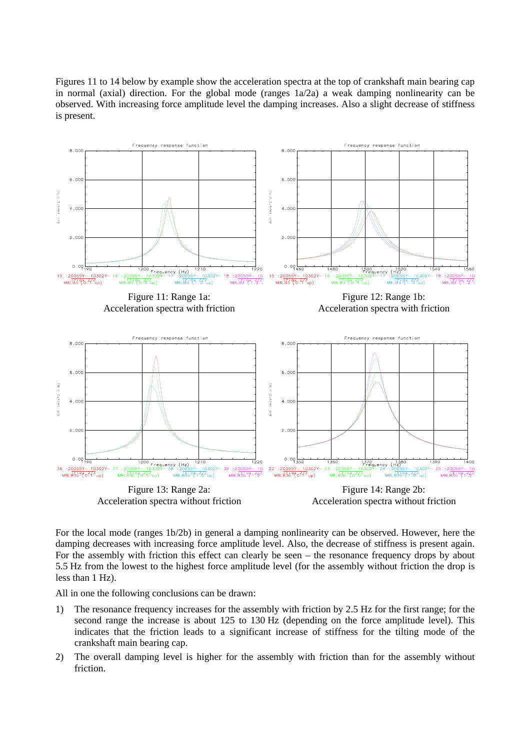Figures 11 to 14 below by example show the acceleration spectra at the top of crankshaft main bearing cap in normal (axial) direction. For the global mode (ranges  $1a/2a$ ) a weak damping nonlinearity can be observed. With increasing force amplitude level the damping increases. Also a slight decrease of stiffness is present.



For the local mode (ranges 1b/2b) in general a damping nonlinearity can be observed. However, here the damping decreases with increasing force amplitude level. Also, the decrease of stiffness is present again. For the assembly with friction this effect can clearly be seen – the resonance frequency drops by about 5.5 Hz from the lowest to the highest force amplitude level (for the assembly without friction the drop is less than 1 Hz).

All in one the following conclusions can be drawn:

- 1) The resonance frequency increases for the assembly with friction by 2.5 Hz for the first range; for the second range the increase is about 125 to 130 Hz (depending on the force amplitude level). This indicates that the friction leads to a significant increase of stiffness for the tilting mode of the crankshaft main bearing cap.
- 2) The overall damping level is higher for the assembly with friction than for the assembly without friction.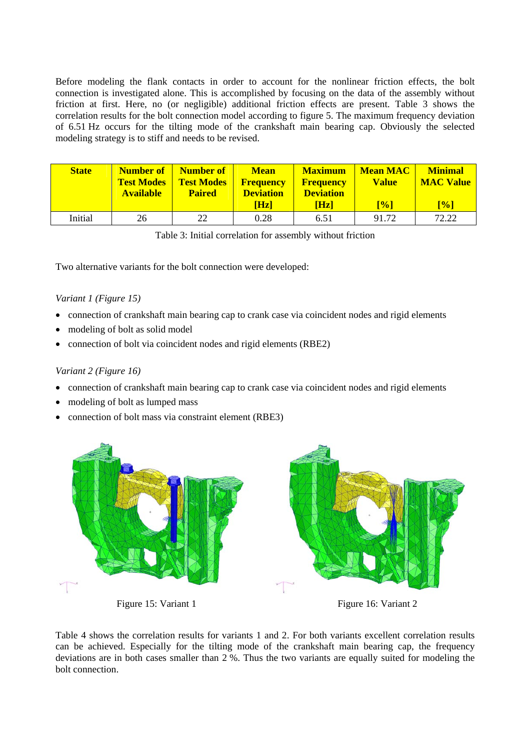Before modeling the flank contacts in order to account for the nonlinear friction effects, the bolt connection is investigated alone. This is accomplished by focusing on the data of the assembly without friction at first. Here, no (or negligible) additional friction effects are present. Table 3 shows the correlation results for the bolt connection model according to figure 5. The maximum frequency deviation of 6.51 Hz occurs for the tilting mode of the crankshaft main bearing cap. Obviously the selected modeling strategy is to stiff and needs to be revised.

| <b>State</b> | <b>Test Modes</b><br><b>Available</b> | <b>Number of   Number of</b><br><b>Test Modes</b><br><b>Paired</b> | <b>Mean</b><br><b>Frequency</b><br><b>Deviation</b><br><b>Hzl</b> | <b>Maximum</b><br><b>Frequency</b><br><b>Deviation</b><br>[Hz] | <b>Mean MAC</b><br><b>Value</b><br>$\lceil\% \rceil$ | <b>Minimal</b><br><b>MAC Value</b><br>[%] |
|--------------|---------------------------------------|--------------------------------------------------------------------|-------------------------------------------------------------------|----------------------------------------------------------------|------------------------------------------------------|-------------------------------------------|
| Initial      | 26                                    | 22                                                                 | 0.28                                                              | 6.51                                                           | 91.72                                                | 72.22                                     |

|  | Table 3: Initial correlation for assembly without friction |  |  |
|--|------------------------------------------------------------|--|--|
|  |                                                            |  |  |

Two alternative variants for the bolt connection were developed:

#### *Variant 1 (Figure 15)*

- connection of crankshaft main bearing cap to crank case via coincident nodes and rigid elements
- modeling of bolt as solid model
- connection of bolt via coincident nodes and rigid elements (RBE2)

#### *Variant 2 (Figure 16)*

- connection of crankshaft main bearing cap to crank case via coincident nodes and rigid elements
- modeling of bolt as lumped mass
- connection of bolt mass via constraint element (RBE3)



Figure 15: Variant 1 Figure 16: Variant 2

Table 4 shows the correlation results for variants 1 and 2. For both variants excellent correlation results can be achieved. Especially for the tilting mode of the crankshaft main bearing cap, the frequency deviations are in both cases smaller than 2 %. Thus the two variants are equally suited for modeling the bolt connection.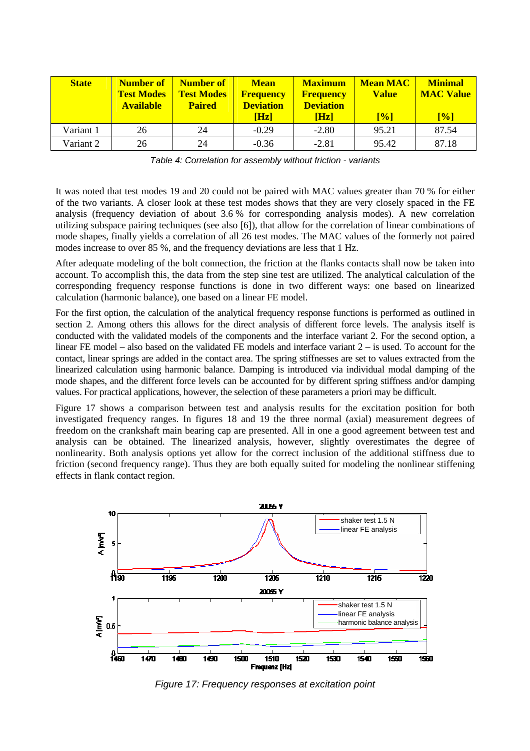| <b>State</b> | <b>Number of</b><br><b>Test Modes</b><br><b>Available</b> | Number of<br><b>Test Modes</b><br><b>Paired</b> | <b>Mean</b><br><b>Frequency</b><br><b>Deviation</b><br>[Hz] | <b>Maximum</b><br><b>Frequency</b><br><b>Deviation</b><br>[Hz] | <b>Mean MAC</b><br><b>Value</b><br>$\lceil\% \rceil$ | <b>Minimal</b><br><b>MAC Value</b><br>[%] |
|--------------|-----------------------------------------------------------|-------------------------------------------------|-------------------------------------------------------------|----------------------------------------------------------------|------------------------------------------------------|-------------------------------------------|
| Variant 1    | 26                                                        | 24                                              | $-0.29$                                                     | $-2.80$                                                        | 95.21                                                | 87.54                                     |
| Variant 2    | 26                                                        | 24                                              | $-0.36$                                                     | $-2.81$                                                        | 95.42                                                | 87.18                                     |

*Table 4: Correlation for assembly without friction - variants* 

It was noted that test modes 19 and 20 could not be paired with MAC values greater than 70 % for either of the two variants. A closer look at these test modes shows that they are very closely spaced in the FE analysis (frequency deviation of about 3.6 % for corresponding analysis modes). A new correlation utilizing subspace pairing techniques (see also [6]), that allow for the correlation of linear combinations of mode shapes, finally yields a correlation of all 26 test modes. The MAC values of the formerly not paired modes increase to over 85 %, and the frequency deviations are less that 1 Hz.

After adequate modeling of the bolt connection, the friction at the flanks contacts shall now be taken into account. To accomplish this, the data from the step sine test are utilized. The analytical calculation of the corresponding frequency response functions is done in two different ways: one based on linearized calculation (harmonic balance), one based on a linear FE model.

For the first option, the calculation of the analytical frequency response functions is performed as outlined in section 2. Among others this allows for the direct analysis of different force levels. The analysis itself is conducted with the validated models of the components and the interface variant 2. For the second option, a linear FE model – also based on the validated FE models and interface variant 2 – is used. To account for the contact, linear springs are added in the contact area. The spring stiffnesses are set to values extracted from the linearized calculation using harmonic balance. Damping is introduced via individual modal damping of the mode shapes, and the different force levels can be accounted for by different spring stiffness and/or damping values. For practical applications, however, the selection of these parameters a priori may be difficult.

Figure 17 shows a comparison between test and analysis results for the excitation position for both investigated frequency ranges. In figures 18 and 19 the three normal (axial) measurement degrees of freedom on the crankshaft main bearing cap are presented. All in one a good agreement between test and analysis can be obtained. The linearized analysis, however, slightly overestimates the degree of nonlinearity. Both analysis options yet allow for the correct inclusion of the additional stiffness due to friction (second frequency range). Thus they are both equally suited for modeling the nonlinear stiffening effects in flank contact region.



*Figure 17: Frequency responses at excitation point*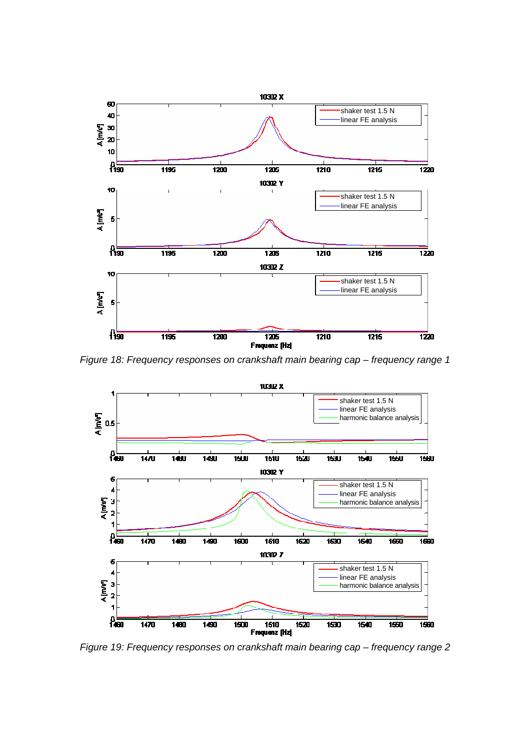

*Figure 18: Frequency responses on crankshaft main bearing cap – frequency range 1* 



*Figure 19: Frequency responses on crankshaft main bearing cap – frequency range 2*